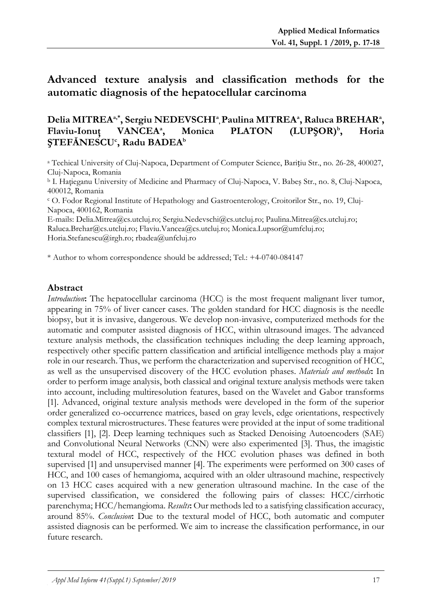# **Advanced texture analysis and classification methods for the automatic diagnosis of the hepatocellular carcinoma**

#### **Delia MITREAa,\* , Sergiu NEDEVSCHI<sup>a</sup> , Paulina MITREA<sup>a</sup> , Raluca BREHAR<sup>a</sup> , Flaviu-Ionuţ VANCEA<sup>a</sup> , Monica PLATON (LUPŞOR)<sup>b</sup> , Horia ŞTEFĂNESCU<sup>c</sup> , Radu BADEA<sup>b</sup>**

<sup>a</sup> Techical University of Cluj-Napoca, Department of Computer Science, Barițiu Str., no. 26-28, 400027, Cluj-Napoca, Romania

<sup>b</sup> I. Haţieganu University of Medicine and Pharmacy of Cluj-Napoca, V. Babeş Str., no. 8, Cluj-Napoca, [400012,](https://www.coduripostale.ro/Cluj/Cluj_Napoca/Strada_Babes_Victor,_profesor/zip-400012) Romania

<sup>c</sup> O. Fodor Regional Institute of Hepathology and Gastroenterology, Croitorilor Str., no. 19, Cluj-Napoca, 400162, Romania

E-mails: Delia.Mitrea@cs.utcluj.ro; [Sergiu.Nedevschi@cs.utcluj.ro;](mailto:Sergiu.Nedevschi@cs.utcluj.ro) [Paulina.Mitrea@cs.utcluj.ro;](mailto:Paulina.Mitrea@cs.utcluj.ro)  [Raluca.Brehar@cs.utcluj.ro;](mailto:Raluca.Brehar@cs.utcluj.ro) [Flaviu.Vancea@cs.utcluj.ro;](mailto:Flaviu.Vancea@cs.utcluj.ro) Monica.Lupsor@umfcluj.ro; Horia.Stefanescu@irgh.ro; rbadea@unfcluj.ro

\* Author to whom correspondence should be addressed; Tel.: +4-0740-084147

### **Abstract**

*Introduction*: The hepatocellular carcinoma (HCC) is the most frequent malignant liver tumor, appearing in 75% of liver cancer cases. The golden standard for HCC diagnosis is the needle biopsy, but it is invasive, dangerous. We develop non-invasive, computerized methods for the automatic and computer assisted diagnosis of HCC, within ultrasound images. The advanced texture analysis methods, the classification techniques including the deep learning approach, respectively other specific pattern classification and artificial intelligence methods play a major role in our research. Thus, we perform the characterization and supervised recognition of HCC, as well as the unsupervised discovery of the HCC evolution phases. *Materials and methods***:** In order to perform image analysis, both classical and original texture analysis methods were taken into account, including multiresolution features, based on the Wavelet and Gabor transforms [1]. Advanced, original texture analysis methods were developed in the form of the superior order generalized co-occurrence matrices, based on gray levels, edge orientations, respectively complex textural microstructures. These features were provided at the input of some traditional classifiers [1], [2]. Deep learning techniques such as Stacked Denoising Autoencoders (SAE) and Convolutional Neural Networks (CNN) were also experimented [3]. Thus, the imagistic textural model of HCC, respectively of the HCC evolution phases was defined in both supervised [1] and unsupervised manner [4]. The experiments were performed on 300 cases of HCC, and 100 cases of hemangioma, acquired with an older ultrasound machine, respectively on 13 HCC cases acquired with a new generation ultrasound machine. In the case of the supervised classification, we considered the following pairs of classes: HCC/cirrhotic parenchyma; HCC/hemangioma. *Results***:** Our methods led to a satisfying classification accuracy, around 85%. *Conclusion***:** Due to the textural model of HCC, both automatic and computer assisted diagnosis can be performed. We aim to increase the classification performance, in our future research.